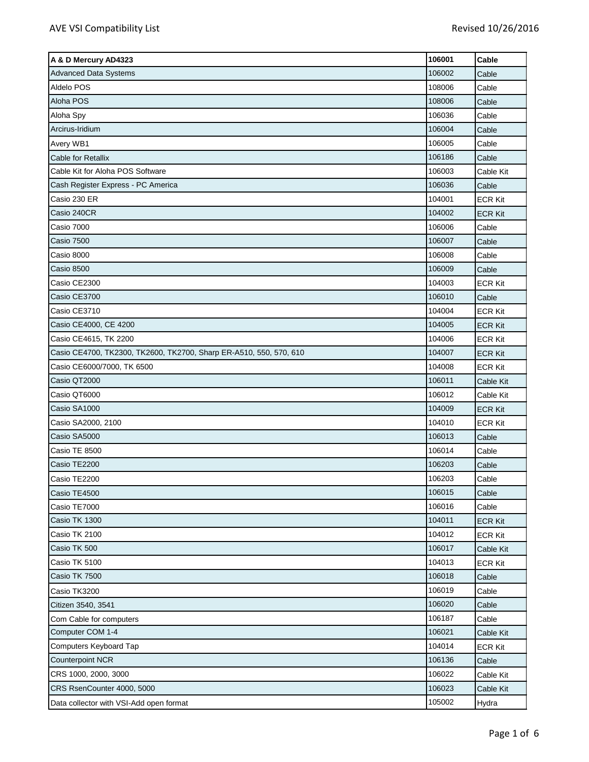| A & D Mercury AD4323                                               | 106001 | Cable          |
|--------------------------------------------------------------------|--------|----------------|
| <b>Advanced Data Systems</b>                                       | 106002 | Cable          |
| Aldelo POS                                                         | 108006 | Cable          |
| Aloha POS                                                          | 108006 | Cable          |
| Aloha Spy                                                          | 106036 | Cable          |
| Arcirus-Iridium                                                    | 106004 | Cable          |
| Avery WB1                                                          | 106005 | Cable          |
| Cable for Retallix                                                 | 106186 | Cable          |
| Cable Kit for Aloha POS Software                                   | 106003 | Cable Kit      |
| Cash Register Express - PC America                                 | 106036 | Cable          |
| Casio 230 ER                                                       | 104001 | <b>ECR Kit</b> |
| Casio 240CR                                                        | 104002 | <b>ECR Kit</b> |
| Casio 7000                                                         | 106006 | Cable          |
| <b>Casio 7500</b>                                                  | 106007 | Cable          |
| Casio 8000                                                         | 106008 | Cable          |
| Casio 8500                                                         | 106009 | Cable          |
| Casio CE2300                                                       | 104003 | <b>ECR Kit</b> |
| Casio CE3700                                                       | 106010 | Cable          |
| Casio CE3710                                                       | 104004 | <b>ECR Kit</b> |
| Casio CE4000, CE 4200                                              | 104005 | <b>ECR Kit</b> |
| Casio CE4615, TK 2200                                              | 104006 | <b>ECR Kit</b> |
| Casio CE4700, TK2300, TK2600, TK2700, Sharp ER-A510, 550, 570, 610 | 104007 | <b>ECR Kit</b> |
| Casio CE6000/7000, TK 6500                                         | 104008 | <b>ECR Kit</b> |
| Casio QT2000                                                       | 106011 | Cable Kit      |
| Casio QT6000                                                       | 106012 | Cable Kit      |
| Casio SA1000                                                       | 104009 | <b>ECR Kit</b> |
| Casio SA2000, 2100                                                 | 104010 | <b>ECR Kit</b> |
| Casio SA5000                                                       | 106013 | Cable          |
| Casio TE 8500                                                      | 106014 | Cable          |
| Casio TE2200                                                       | 106203 | Cable          |
| Casio TE2200                                                       | 106203 | Cable          |
| Casio TE4500                                                       | 106015 | Cable          |
| Casio TE7000                                                       | 106016 | Cable          |
| Casio TK 1300                                                      | 104011 | <b>ECR Kit</b> |
| Casio TK 2100                                                      | 104012 | <b>ECR Kit</b> |
| Casio TK 500                                                       | 106017 | Cable Kit      |
| Casio TK 5100                                                      | 104013 | <b>ECR Kit</b> |
| Casio TK 7500                                                      | 106018 | Cable          |
| Casio TK3200                                                       | 106019 | Cable          |
| Citizen 3540, 3541                                                 | 106020 | Cable          |
| Com Cable for computers                                            | 106187 | Cable          |
| Computer COM 1-4                                                   | 106021 | Cable Kit      |
| Computers Keyboard Tap                                             | 104014 | <b>ECR Kit</b> |
| <b>Counterpoint NCR</b>                                            | 106136 | Cable          |
| CRS 1000, 2000, 3000                                               | 106022 | Cable Kit      |
| CRS RsenCounter 4000, 5000                                         | 106023 | Cable Kit      |
| Data collector with VSI-Add open format                            | 105002 | Hydra          |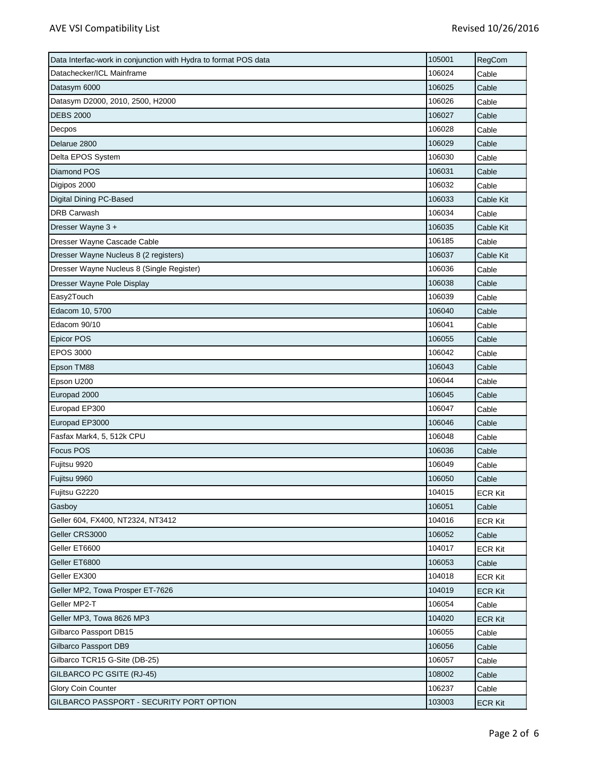| Data Interfac-work in conjunction with Hydra to format POS data | 105001 | RegCom         |
|-----------------------------------------------------------------|--------|----------------|
| Datachecker/ICL Mainframe                                       | 106024 | Cable          |
| Datasym 6000                                                    | 106025 | Cable          |
| Datasym D2000, 2010, 2500, H2000                                | 106026 | Cable          |
| <b>DEBS 2000</b>                                                | 106027 | Cable          |
| Decpos                                                          | 106028 | Cable          |
| Delarue 2800                                                    | 106029 | Cable          |
| Delta EPOS System                                               | 106030 | Cable          |
| Diamond POS                                                     | 106031 | Cable          |
| Digipos 2000                                                    | 106032 | Cable          |
| Digital Dining PC-Based                                         | 106033 | Cable Kit      |
| <b>DRB Carwash</b>                                              | 106034 | Cable          |
| Dresser Wayne 3 +                                               | 106035 | Cable Kit      |
| Dresser Wayne Cascade Cable                                     | 106185 | Cable          |
| Dresser Wayne Nucleus 8 (2 registers)                           | 106037 | Cable Kit      |
| Dresser Wayne Nucleus 8 (Single Register)                       | 106036 | Cable          |
| Dresser Wayne Pole Display                                      | 106038 | Cable          |
| Easy2Touch                                                      | 106039 | Cable          |
| Edacom 10, 5700                                                 | 106040 | Cable          |
| Edacom 90/10                                                    | 106041 | Cable          |
| Epicor POS                                                      | 106055 | Cable          |
| <b>EPOS 3000</b>                                                | 106042 | Cable          |
| Epson TM88                                                      | 106043 | Cable          |
| Epson U200                                                      | 106044 | Cable          |
| Europad 2000                                                    | 106045 | Cable          |
| Europad EP300                                                   | 106047 | Cable          |
| Europad EP3000                                                  | 106046 | Cable          |
| Fasfax Mark4, 5, 512k CPU                                       | 106048 | Cable          |
| Focus POS                                                       | 106036 | Cable          |
| Fujitsu 9920                                                    | 106049 | Cable          |
| Fujitsu 9960                                                    | 106050 | Cable          |
| Fujitsu G2220                                                   | 104015 | <b>ECR Kit</b> |
| Gasboy                                                          | 106051 | Cable          |
| Geller 604, FX400, NT2324, NT3412                               | 104016 | <b>ECR Kit</b> |
| Geller CRS3000                                                  | 106052 | Cable          |
| Geller ET6600                                                   | 104017 | <b>ECR Kit</b> |
| Geller ET6800                                                   | 106053 | Cable          |
| Geller EX300                                                    | 104018 | <b>ECR Kit</b> |
| Geller MP2, Towa Prosper ET-7626                                | 104019 | <b>ECR Kit</b> |
| Geller MP2-T                                                    | 106054 | Cable          |
| Geller MP3, Towa 8626 MP3                                       | 104020 | <b>ECR Kit</b> |
| Gilbarco Passport DB15                                          | 106055 | Cable          |
| Gilbarco Passport DB9                                           | 106056 | Cable          |
| Gilbarco TCR15 G-Site (DB-25)                                   | 106057 | Cable          |
| GILBARCO PC GSITE (RJ-45)                                       | 108002 | Cable          |
| Glory Coin Counter                                              | 106237 | Cable          |
| GILBARCO PASSPORT - SECURITY PORT OPTION                        | 103003 | <b>ECR Kit</b> |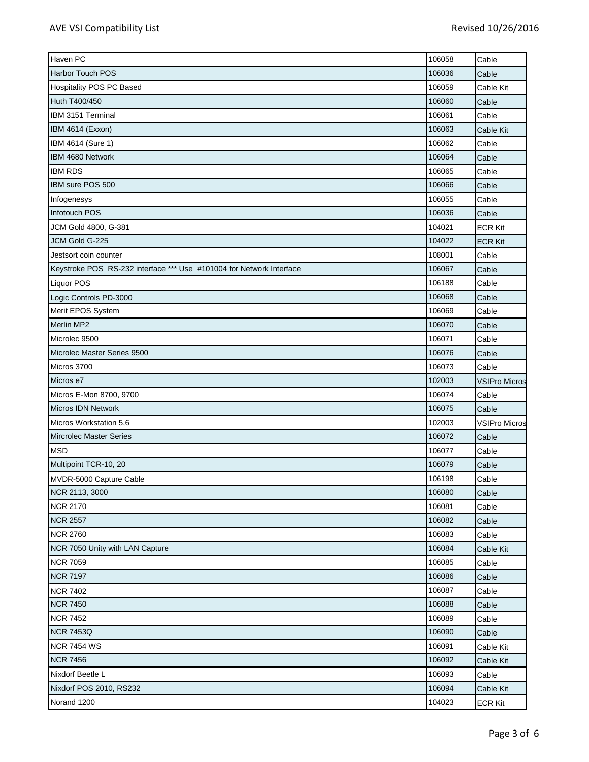| Haven PC                                                             | 106058 | Cable                |
|----------------------------------------------------------------------|--------|----------------------|
| <b>Harbor Touch POS</b>                                              | 106036 | Cable                |
| Hospitality POS PC Based                                             | 106059 | Cable Kit            |
| Huth T400/450                                                        | 106060 | Cable                |
| IBM 3151 Terminal                                                    | 106061 | Cable                |
| IBM 4614 (Exxon)                                                     | 106063 | Cable Kit            |
| IBM 4614 (Sure 1)                                                    | 106062 | Cable                |
| IBM 4680 Network                                                     | 106064 | Cable                |
| <b>IBM RDS</b>                                                       | 106065 | Cable                |
| IBM sure POS 500                                                     | 106066 | Cable                |
| Infogenesys                                                          | 106055 | Cable                |
| Infotouch POS                                                        | 106036 | Cable                |
| JCM Gold 4800, G-381                                                 | 104021 | <b>ECR Kit</b>       |
| JCM Gold G-225                                                       | 104022 | <b>ECR Kit</b>       |
| Jestsort coin counter                                                | 108001 | Cable                |
| Keystroke POS RS-232 interface *** Use #101004 for Network Interface | 106067 | Cable                |
| Liquor POS                                                           | 106188 | Cable                |
| Logic Controls PD-3000                                               | 106068 | Cable                |
| Merit EPOS System                                                    | 106069 | Cable                |
| Merlin MP2                                                           | 106070 | Cable                |
| Microlec 9500                                                        | 106071 | Cable                |
| Microlec Master Series 9500                                          | 106076 | Cable                |
| Micros 3700                                                          | 106073 | Cable                |
| Micros e7                                                            | 102003 | <b>VSIPro Micros</b> |
| Micros E-Mon 8700, 9700                                              | 106074 | Cable                |
| <b>Micros IDN Network</b>                                            | 106075 | Cable                |
| Micros Workstation 5,6                                               | 102003 | <b>VSIPro Micros</b> |
| <b>Mircrolec Master Series</b>                                       | 106072 | Cable                |
| <b>MSD</b>                                                           | 106077 | Cable                |
| Multipoint TCR-10, 20                                                | 106079 | Cable                |
| MVDR-5000 Capture Cable                                              | 106198 | Cable                |
| NCR 2113, 3000                                                       | 106080 | Cable                |
| <b>NCR 2170</b>                                                      | 106081 | Cable                |
| <b>NCR 2557</b>                                                      | 106082 | Cable                |
| <b>NCR 2760</b>                                                      | 106083 | Cable                |
| NCR 7050 Unity with LAN Capture                                      | 106084 | Cable Kit            |
| <b>NCR 7059</b>                                                      | 106085 | Cable                |
| <b>NCR 7197</b>                                                      | 106086 | Cable                |
| <b>NCR 7402</b>                                                      | 106087 | Cable                |
| <b>NCR 7450</b>                                                      | 106088 | Cable                |
| <b>NCR 7452</b>                                                      | 106089 | Cable                |
| <b>NCR 7453Q</b>                                                     | 106090 | Cable                |
| <b>NCR 7454 WS</b>                                                   | 106091 | Cable Kit            |
| <b>NCR 7456</b>                                                      | 106092 | Cable Kit            |
| Nixdorf Beetle L                                                     | 106093 | Cable                |
| Nixdorf POS 2010, RS232                                              | 106094 | Cable Kit            |
| Norand 1200                                                          | 104023 | <b>ECR Kit</b>       |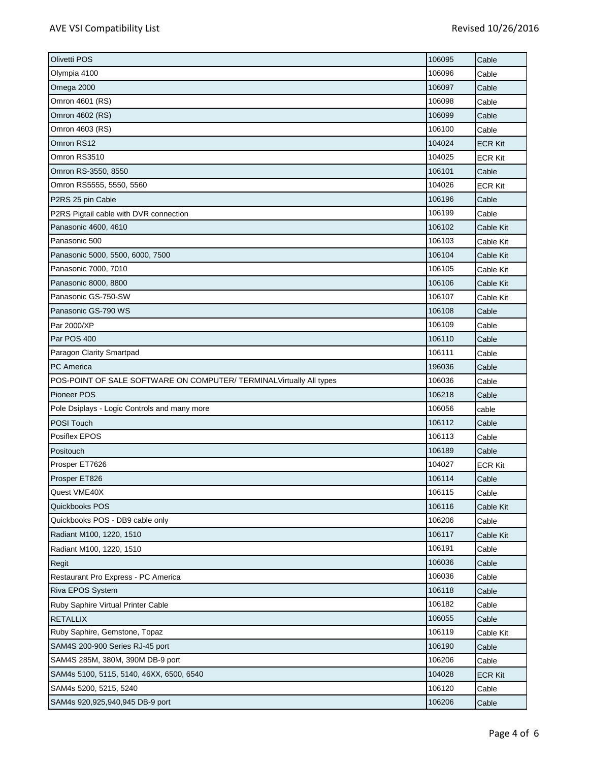| Olivetti POS                                                        | 106095 | Cable          |
|---------------------------------------------------------------------|--------|----------------|
| Olympia 4100                                                        | 106096 | Cable          |
| Omega 2000                                                          | 106097 | Cable          |
| Omron 4601 (RS)                                                     | 106098 | Cable          |
| Omron 4602 (RS)                                                     | 106099 | Cable          |
| Omron 4603 (RS)                                                     | 106100 | Cable          |
| Omron RS12                                                          | 104024 | <b>ECR Kit</b> |
| Omron RS3510                                                        | 104025 | <b>ECR Kit</b> |
| Omron RS-3550, 8550                                                 | 106101 | Cable          |
| Omron RS5555, 5550, 5560                                            | 104026 | <b>ECR Kit</b> |
| P2RS 25 pin Cable                                                   | 106196 | Cable          |
| P2RS Pigtail cable with DVR connection                              | 106199 | Cable          |
| Panasonic 4600, 4610                                                | 106102 | Cable Kit      |
| Panasonic 500                                                       | 106103 | Cable Kit      |
| Panasonic 5000, 5500, 6000, 7500                                    | 106104 | Cable Kit      |
| Panasonic 7000, 7010                                                | 106105 | Cable Kit      |
| Panasonic 8000, 8800                                                | 106106 | Cable Kit      |
| Panasonic GS-750-SW                                                 | 106107 | Cable Kit      |
| Panasonic GS-790 WS                                                 | 106108 | Cable          |
| Par 2000/XP                                                         | 106109 | Cable          |
| Par POS 400                                                         | 106110 | Cable          |
| Paragon Clarity Smartpad                                            | 106111 | Cable          |
| <b>PC</b> America                                                   | 196036 | Cable          |
| POS-POINT OF SALE SOFTWARE ON COMPUTER/ TERMINALVirtually All types | 106036 | Cable          |
| Pioneer POS                                                         | 106218 | Cable          |
| Pole Dsiplays - Logic Controls and many more                        | 106056 | cable          |
| POSI Touch                                                          | 106112 | Cable          |
| Posiflex EPOS                                                       | 106113 | Cable          |
| Positouch                                                           | 106189 | Cable          |
| Prosper ET7626                                                      | 104027 | <b>ECR Kit</b> |
| Prosper ET826                                                       | 106114 | Cable          |
| Quest VME40X                                                        | 106115 | Cable          |
| Quickbooks POS                                                      | 106116 | Cable Kit      |
| Quickbooks POS - DB9 cable only                                     | 106206 | Cable          |
| Radiant M100, 1220, 1510                                            | 106117 | Cable Kit      |
| Radiant M100, 1220, 1510                                            | 106191 | Cable          |
| Regit                                                               | 106036 | Cable          |
| Restaurant Pro Express - PC America                                 | 106036 | Cable          |
| Riva EPOS System                                                    | 106118 | Cable          |
| Ruby Saphire Virtual Printer Cable                                  | 106182 | Cable          |
| <b>RETALLIX</b>                                                     | 106055 | Cable          |
| Ruby Saphire, Gemstone, Topaz                                       | 106119 | Cable Kit      |
| SAM4S 200-900 Series RJ-45 port                                     | 106190 | Cable          |
| SAM4S 285M, 380M, 390M DB-9 port                                    | 106206 | Cable          |
| SAM4s 5100, 5115, 5140, 46XX, 6500, 6540                            | 104028 | <b>ECR Kit</b> |
| SAM4s 5200, 5215, 5240                                              | 106120 | Cable          |
| SAM4s 920,925,940,945 DB-9 port                                     | 106206 | Cable          |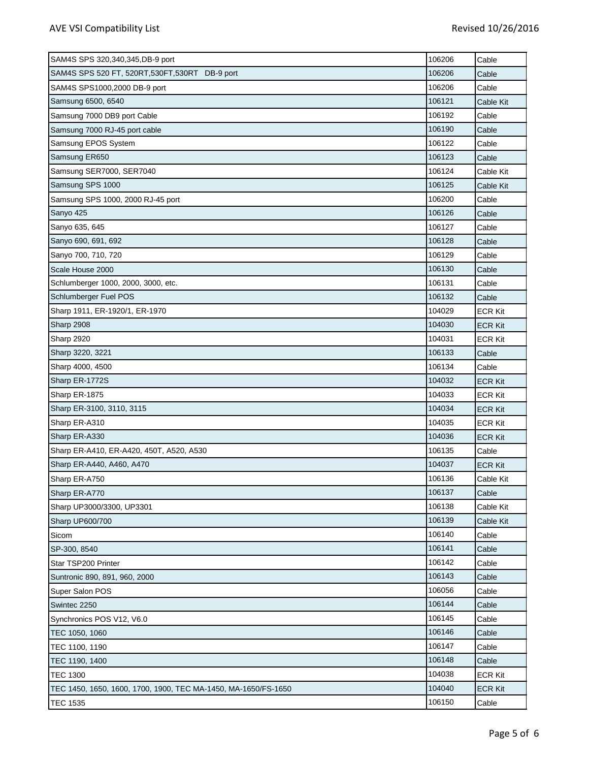| SAM4S SPS 320,340,345, DB-9 port                               | 106206 | Cable          |
|----------------------------------------------------------------|--------|----------------|
| SAM4S SPS 520 FT, 520RT, 530FT, 530RT DB-9 port                | 106206 | Cable          |
| SAM4S SPS1000,2000 DB-9 port                                   | 106206 | Cable          |
| Samsung 6500, 6540                                             | 106121 | Cable Kit      |
| Samsung 7000 DB9 port Cable                                    | 106192 | Cable          |
| Samsung 7000 RJ-45 port cable                                  | 106190 | Cable          |
| Samsung EPOS System                                            | 106122 | Cable          |
| Samsung ER650                                                  | 106123 | Cable          |
| Samsung SER7000, SER7040                                       | 106124 | Cable Kit      |
| Samsung SPS 1000                                               | 106125 | Cable Kit      |
| Samsung SPS 1000, 2000 RJ-45 port                              | 106200 | Cable          |
| Sanyo 425                                                      | 106126 | Cable          |
| Sanyo 635, 645                                                 | 106127 | Cable          |
| Sanyo 690, 691, 692                                            | 106128 | Cable          |
| Sanyo 700, 710, 720                                            | 106129 | Cable          |
| Scale House 2000                                               | 106130 | Cable          |
| Schlumberger 1000, 2000, 3000, etc.                            | 106131 | Cable          |
| Schlumberger Fuel POS                                          | 106132 | Cable          |
| Sharp 1911, ER-1920/1, ER-1970                                 | 104029 | <b>ECR Kit</b> |
| Sharp 2908                                                     | 104030 | <b>ECR Kit</b> |
| <b>Sharp 2920</b>                                              | 104031 | <b>ECR Kit</b> |
| Sharp 3220, 3221                                               | 106133 | Cable          |
| Sharp 4000, 4500                                               | 106134 | Cable          |
| Sharp ER-1772S                                                 | 104032 | ECR Kit        |
| Sharp ER-1875                                                  | 104033 | <b>ECR Kit</b> |
| Sharp ER-3100, 3110, 3115                                      | 104034 | <b>ECR Kit</b> |
| Sharp ER-A310                                                  | 104035 | <b>ECR Kit</b> |
| Sharp ER-A330                                                  | 104036 | <b>ECR Kit</b> |
| Sharp ER-A410, ER-A420, 450T, A520, A530                       | 106135 | Cable          |
| Sharp ER-A440, A460, A470                                      | 104037 | <b>ECR Kit</b> |
| Sharp ER-A750                                                  | 106136 | Cable Kit      |
| Sharp ER-A770                                                  | 106137 | Cable          |
| Sharp UP3000/3300, UP3301                                      | 106138 | Cable Kit      |
| Sharp UP600/700                                                | 106139 | Cable Kit      |
| Sicom                                                          | 106140 | Cable          |
| SP-300, 8540                                                   | 106141 | Cable          |
| Star TSP200 Printer                                            | 106142 | Cable          |
| Suntronic 890, 891, 960, 2000                                  | 106143 | Cable          |
| Super Salon POS                                                | 106056 | Cable          |
| Swintec 2250                                                   | 106144 | Cable          |
| Synchronics POS V12, V6.0                                      | 106145 | Cable          |
| TEC 1050, 1060                                                 | 106146 | Cable          |
| TEC 1100, 1190                                                 | 106147 | Cable          |
| TEC 1190, 1400                                                 | 106148 | Cable          |
| <b>TEC 1300</b>                                                | 104038 | <b>ECR Kit</b> |
| TEC 1450, 1650, 1600, 1700, 1900, TEC MA-1450, MA-1650/FS-1650 | 104040 | <b>ECR Kit</b> |
| <b>TEC 1535</b>                                                | 106150 | Cable          |